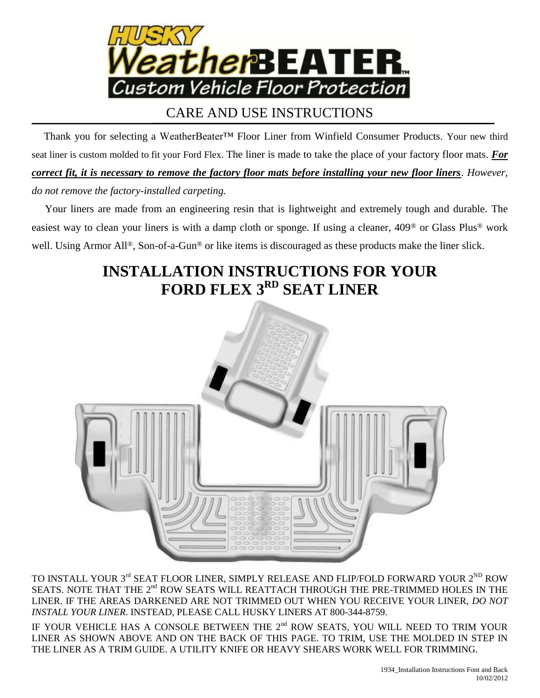

## CARE AND USE INSTRUCTIONS

 Thank you for selecting a WeatherBeater™ Floor Liner from Winfield Consumer Products. Your new third seat liner is custom molded to fit your Ford Flex. The liner is made to take the place of your factory floor mats. *For correct fit, it is necessary to remove the factory floor mats before installing your new floor liners*. *However, do not remove the factory-installed carpeting.*

 Your liners are made from an engineering resin that is lightweight and extremely tough and durable. The easiest way to clean your liners is with a damp cloth or sponge. If using a cleaner, 409® or Glass Plus® work well. Using Armor All®, Son-of-a-Gun® or like items is discouraged as these products make the liner slick.

## **INSTALLATION INSTRUCTIONS FOR YOUR FORD FLEX 3 RD SEAT LINER**



TO INSTALL YOUR  $3^{\text{rd}}$  SEAT FLOOR LINER, SIMPLY RELEASE AND FLIP/FOLD FORWARD YOUR  $2^{\text{ND}}$  ROW SEATS. NOTE THAT THE  $2<sup>nd</sup>$  ROW SEATS WILL REATTACH THROUGH THE PRE-TRIMMED HOLES IN THE LINER. IF THE AREAS DARKENED ARE NOT TRIMMED OUT WHEN YOU RECEIVE YOUR LINER, *DO NOT INSTALL YOUR LINER*. INSTEAD, PLEASE CALL HUSKY LINERS AT 800-344-8759.

IF YOUR VEHICLE HAS A CONSOLE BETWEEN THE 2<sup>nd</sup> ROW SEATS, YOU WILL NEED TO TRIM YOUR LINER AS SHOWN ABOVE AND ON THE BACK OF THIS PAGE. TO TRIM, USE THE MOLDED IN STEP IN THE LINER AS A TRIM GUIDE. A UTILITY KNIFE OR HEAVY SHEARS WORK WELL FOR TRIMMING.